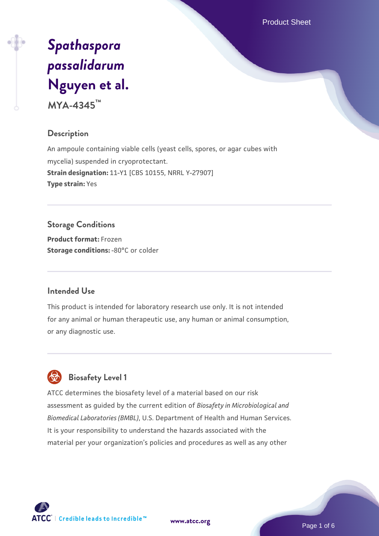Product Sheet

# *[Spathaspora](https://www.atcc.org/products/mya-4345) [passalidarum](https://www.atcc.org/products/mya-4345)* **[Nguyen et al.](https://www.atcc.org/products/mya-4345)**

**MYA-4345™**

## **Description**

An ampoule containing viable cells (yeast cells, spores, or agar cubes with mycelia) suspended in cryoprotectant. **Strain designation:** 11-Y1 [CBS 10155, NRRL Y-27907] **Type strain:** Yes

## **Storage Conditions**

**Product format:** Frozen **Storage conditions: -80°C or colder** 

#### **Intended Use**

This product is intended for laboratory research use only. It is not intended for any animal or human therapeutic use, any human or animal consumption, or any diagnostic use.



# **Biosafety Level 1**

ATCC determines the biosafety level of a material based on our risk assessment as guided by the current edition of *Biosafety in Microbiological and Biomedical Laboratories (BMBL)*, U.S. Department of Health and Human Services. It is your responsibility to understand the hazards associated with the material per your organization's policies and procedures as well as any other

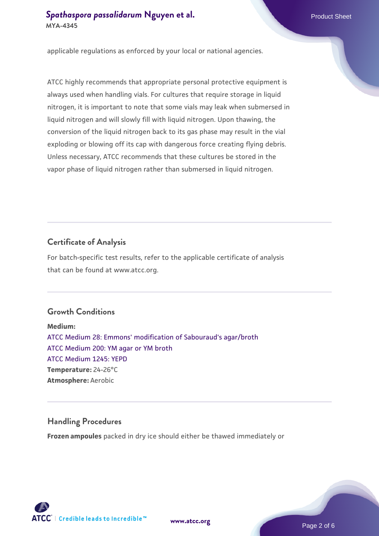applicable regulations as enforced by your local or national agencies.

ATCC highly recommends that appropriate personal protective equipment is always used when handling vials. For cultures that require storage in liquid nitrogen, it is important to note that some vials may leak when submersed in liquid nitrogen and will slowly fill with liquid nitrogen. Upon thawing, the conversion of the liquid nitrogen back to its gas phase may result in the vial exploding or blowing off its cap with dangerous force creating flying debris. Unless necessary, ATCC recommends that these cultures be stored in the vapor phase of liquid nitrogen rather than submersed in liquid nitrogen.

## **Certificate of Analysis**

For batch-specific test results, refer to the applicable certificate of analysis that can be found at www.atcc.org.

#### **Growth Conditions**

**Medium:**  [ATCC Medium 28: Emmons' modification of Sabouraud's agar/broth](https://www.atcc.org/-/media/product-assets/documents/microbial-media-formulations/2/8/atcc-medium-28.pdf?rev=0da0c58cc2a343eeae735016b70809bb) [ATCC Medium 200: YM agar or YM broth](https://www.atcc.org/-/media/product-assets/documents/microbial-media-formulations/2/0/0/atcc-medium-200.pdf?rev=ac40fd74dc13433a809367b0b9da30fc) [ATCC Medium 1245: YEPD](https://www.atcc.org/-/media/product-assets/documents/microbial-media-formulations/1/2/4/5/atcc-medium-1245.pdf?rev=705ca55d1b6f490a808a965d5c072196) **Temperature:** 24-26°C **Atmosphere:** Aerobic

## **Handling Procedures**

**Frozen ampoules** packed in dry ice should either be thawed immediately or

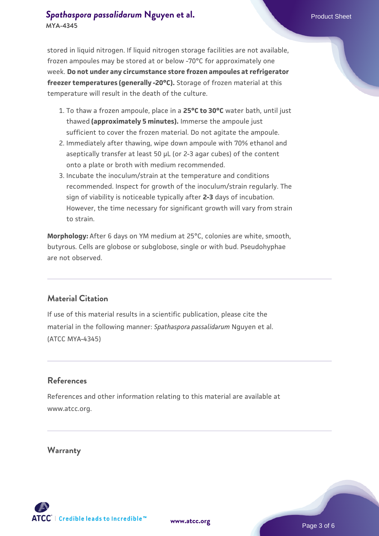stored in liquid nitrogen. If liquid nitrogen storage facilities are not available, frozen ampoules may be stored at or below -70°C for approximately one week. **Do not under any circumstance store frozen ampoules at refrigerator freezer temperatures (generally -20°C).** Storage of frozen material at this temperature will result in the death of the culture.

- 1. To thaw a frozen ampoule, place in a **25°C to 30°C** water bath, until just thawed **(approximately 5 minutes).** Immerse the ampoule just sufficient to cover the frozen material. Do not agitate the ampoule.
- 2. Immediately after thawing, wipe down ampoule with 70% ethanol and aseptically transfer at least 50 µL (or 2-3 agar cubes) of the content onto a plate or broth with medium recommended.
- 3. Incubate the inoculum/strain at the temperature and conditions recommended. Inspect for growth of the inoculum/strain regularly. The sign of viability is noticeable typically after **2-3** days of incubation. However, the time necessary for significant growth will vary from strain to strain.

**Morphology:** After 6 days on YM medium at 25°C, colonies are white, smooth, butyrous. Cells are globose or subglobose, single or with bud. Pseudohyphae are not observed.

#### **Material Citation**

If use of this material results in a scientific publication, please cite the material in the following manner: *Spathaspora passalidarum* Nguyen et al. (ATCC MYA-4345)

#### **References**

References and other information relating to this material are available at www.atcc.org.

#### **Warranty**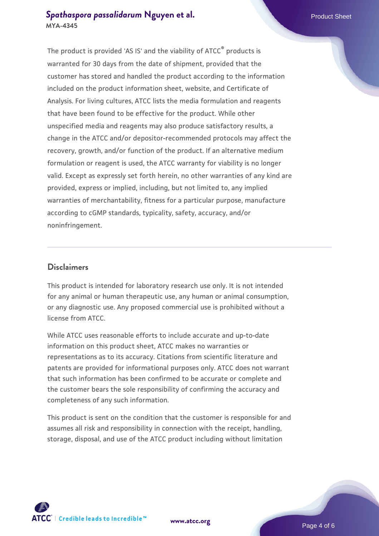The product is provided 'AS IS' and the viability of ATCC® products is warranted for 30 days from the date of shipment, provided that the customer has stored and handled the product according to the information included on the product information sheet, website, and Certificate of Analysis. For living cultures, ATCC lists the media formulation and reagents that have been found to be effective for the product. While other unspecified media and reagents may also produce satisfactory results, a change in the ATCC and/or depositor-recommended protocols may affect the recovery, growth, and/or function of the product. If an alternative medium formulation or reagent is used, the ATCC warranty for viability is no longer valid. Except as expressly set forth herein, no other warranties of any kind are provided, express or implied, including, but not limited to, any implied warranties of merchantability, fitness for a particular purpose, manufacture according to cGMP standards, typicality, safety, accuracy, and/or noninfringement.

#### **Disclaimers**

This product is intended for laboratory research use only. It is not intended for any animal or human therapeutic use, any human or animal consumption, or any diagnostic use. Any proposed commercial use is prohibited without a license from ATCC.

While ATCC uses reasonable efforts to include accurate and up-to-date information on this product sheet, ATCC makes no warranties or representations as to its accuracy. Citations from scientific literature and patents are provided for informational purposes only. ATCC does not warrant that such information has been confirmed to be accurate or complete and the customer bears the sole responsibility of confirming the accuracy and completeness of any such information.

This product is sent on the condition that the customer is responsible for and assumes all risk and responsibility in connection with the receipt, handling, storage, disposal, and use of the ATCC product including without limitation



**[www.atcc.org](http://www.atcc.org)**

Page 4 of 6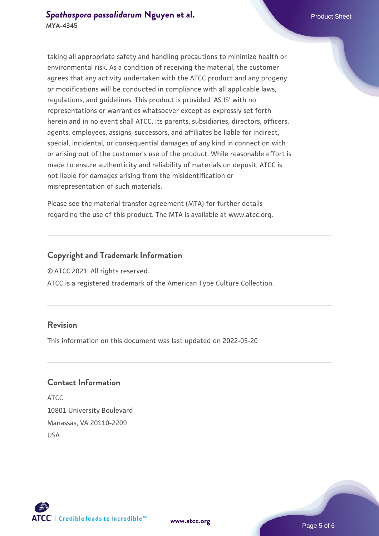taking all appropriate safety and handling precautions to minimize health or environmental risk. As a condition of receiving the material, the customer agrees that any activity undertaken with the ATCC product and any progeny or modifications will be conducted in compliance with all applicable laws, regulations, and guidelines. This product is provided 'AS IS' with no representations or warranties whatsoever except as expressly set forth herein and in no event shall ATCC, its parents, subsidiaries, directors, officers, agents, employees, assigns, successors, and affiliates be liable for indirect, special, incidental, or consequential damages of any kind in connection with or arising out of the customer's use of the product. While reasonable effort is made to ensure authenticity and reliability of materials on deposit, ATCC is not liable for damages arising from the misidentification or misrepresentation of such materials.

Please see the material transfer agreement (MTA) for further details regarding the use of this product. The MTA is available at www.atcc.org.

#### **Copyright and Trademark Information**

© ATCC 2021. All rights reserved.

ATCC is a registered trademark of the American Type Culture Collection.

#### **Revision**

This information on this document was last updated on 2022-05-20

#### **Contact Information**

ATCC 10801 University Boulevard Manassas, VA 20110-2209 USA